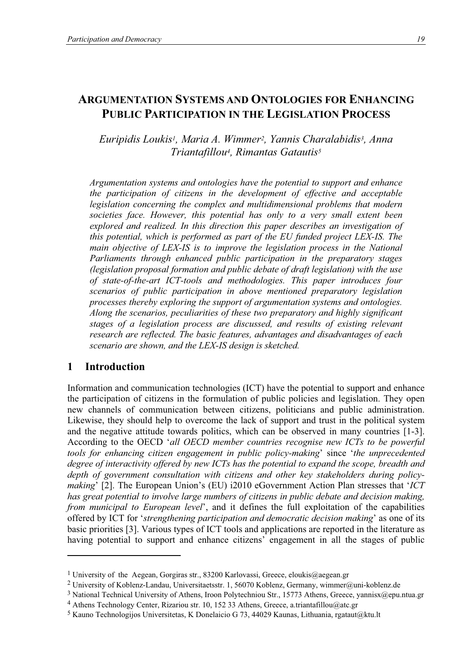# **ARGUMENTATION SYSTEMS AND ONTOLOGIES FOR ENHANCING PUBLIC PARTICIPATION IN THE LEGISLATION PROCESS**

*Euripidis Loukis1, Maria A. Wimmer2, Yannis Charalabidis3, Anna Triantafillou4, Rimantas Gatautis5*

*Argumentation systems and ontologies have the potential to support and enhance the participation of citizens in the development of effective and acceptable legislation concerning the complex and multidimensional problems that modern societies face. However, this potential has only to a very small extent been explored and realized. In this direction this paper describes an investigation of this potential, which is performed as part of the EU funded project LEX-IS. The main objective of LEX-IS is to improve the legislation process in the National Parliaments through enhanced public participation in the preparatory stages (legislation proposal formation and public debate of draft legislation) with the use of state-of-the-art ICT-tools and methodologies. This paper introduces four scenarios of public participation in above mentioned preparatory legislation processes thereby exploring the support of argumentation systems and ontologies. Along the scenarios, peculiarities of these two preparatory and highly significant stages of a legislation process are discussed, and results of existing relevant research are reflected. The basic features, advantages and disadvantages of each scenario are shown, and the LEX-IS design is sketched.*

## **1 Introduction**

 $\overline{a}$ 

Information and communication technologies (ICT) have the potential to support and enhance the participation of citizens in the formulation of public policies and legislation. They open new channels of communication between citizens, politicians and public administration. Likewise, they should help to overcome the lack of support and trust in the political system and the negative attitude towards politics, which can be observed in many countries [1-3]. According to the OECD '*all OECD member countries recognise new ICTs to be powerful tools for enhancing citizen engagement in public policy-making*' since '*the unprecedented degree of interactivity offered by new ICTs has the potential to expand the scope, breadth and depth of government consultation with citizens and other key stakeholders during policymaking*' [2]. The European Union's (EU) i2010 eGovernment Action Plan stresses that '*ICT has great potential to involve large numbers of citizens in public debate and decision making, from municipal to European level*', and it defines the full exploitation of the capabilities offered by ICT for '*strengthening participation and democratic decision making*' as one of its basic priorities [3]. Various types of ICT tools and applications are reported in the literature as having potential to support and enhance citizens' engagement in all the stages of public

<sup>&</sup>lt;sup>1</sup> University of the Aegean, Gorgiras str., 83200 Karlovassi, Greece, eloukis@aegean.gr

<sup>2</sup> University of Koblenz-Landau, Universitaetsstr. 1, 56070 Koblenz, Germany, wimmer@uni-koblenz.de

<sup>3</sup> National Technical University of Athens, Iroon Polytechniou Str., 15773 Athens, Greece, yannisx@epu.ntua.gr

<sup>4</sup> Athens Technology Center, Rizariou str. 10, 152 33 Athens, Greece, a.triantafillou@atc.gr

<sup>&</sup>lt;sup>5</sup> Kauno Technologijos Universitetas, K Donelaicio G 73, 44029 Kaunas, Lithuania, rgataut@ktu.lt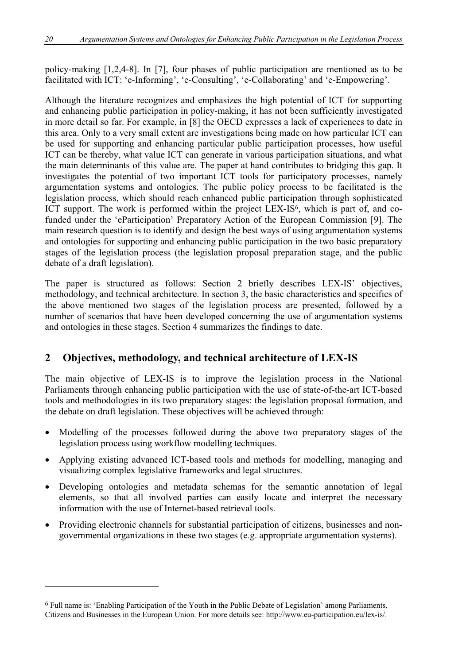policy-making [1,2,4-8]. In [7], four phases of public participation are mentioned as to be facilitated with ICT: 'e-Informing', 'e-Consulting', 'e-Collaborating' and 'e-Empowering'.

Although the literature recognizes and emphasizes the high potential of ICT for supporting and enhancing public participation in policy-making, it has not been sufficiently investigated in more detail so far. For example, in [8] the OECD expresses a lack of experiences to date in this area. Only to a very small extent are investigations being made on how particular ICT can be used for supporting and enhancing particular public participation processes, how useful ICT can be thereby, what value ICT can generate in various participation situations, and what the main determinants of this value are. The paper at hand contributes to bridging this gap. It investigates the potential of two important ICT tools for participatory processes, namely argumentation systems and ontologies. The public policy process to be facilitated is the legislation process, which should reach enhanced public participation through sophisticated ICT support. The work is performed within the project LEX-IS<sup>6</sup>, which is part of, and cofunded under the 'eParticipation' Preparatory Action of the European Commission [9]. The main research question is to identify and design the best ways of using argumentation systems and ontologies for supporting and enhancing public participation in the two basic preparatory stages of the legislation process (the legislation proposal preparation stage, and the public debate of a draft legislation).

The paper is structured as follows: Section 2 briefly describes LEX-IS' objectives, methodology, and technical architecture. In section 3, the basic characteristics and specifics of the above mentioned two stages of the legislation process are presented, followed by a number of scenarios that have been developed concerning the use of argumentation systems and ontologies in these stages. Section 4 summarizes the findings to date.

# **2 Objectives, methodology, and technical architecture of LEX-IS**

The main objective of LEX-IS is to improve the legislation process in the National Parliaments through enhancing public participation with the use of state-of-the-art ICT-based tools and methodologies in its two preparatory stages: the legislation proposal formation, and the debate on draft legislation. These objectives will be achieved through:

- Modelling of the processes followed during the above two preparatory stages of the legislation process using workflow modelling techniques.
- Applying existing advanced ICT-based tools and methods for modelling, managing and visualizing complex legislative frameworks and legal structures.
- Developing ontologies and metadata schemas for the semantic annotation of legal elements, so that all involved parties can easily locate and interpret the necessary information with the use of Internet-based retrieval tools.
- Providing electronic channels for substantial participation of citizens, businesses and nongovernmental organizations in these two stages (e.g. appropriate argumentation systems).

 $\overline{a}$ 

<sup>6</sup> Full name is: 'Enabling Participation of the Youth in the Public Debate of Legislation' among Parliaments, Citizens and Businesses in the European Union. For more details see: http://www.eu-participation.eu/lex-is/.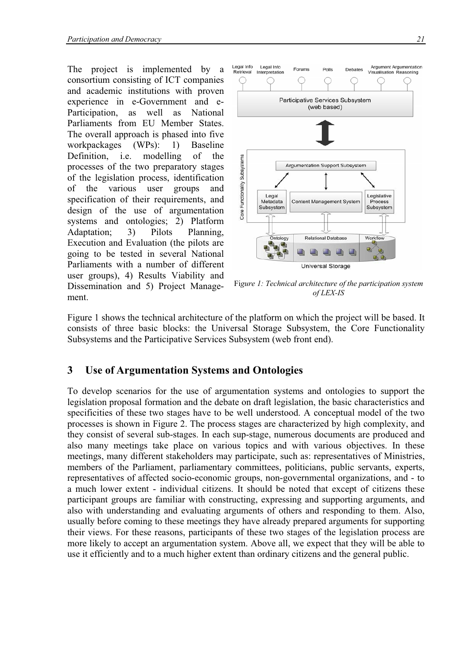The project is implemented by a consortium consisting of ICT companies and academic institutions with proven experience in e-Government and e-Participation, as well as National Parliaments from EU Member States. The overall approach is phased into five workpackages (WPs): 1) Baseline Definition, i.e. modelling of the processes of the two preparatory stages of the legislation process, identification of the various user groups and specification of their requirements, and design of the use of argumentation systems and ontologies; 2) Platform Adaptation; 3) Pilots Planning, Execution and Evaluation (the pilots are going to be tested in several National Parliaments with a number of different user groups), 4) Results Viability and Dissemination and 5) Project Management.



Fi*gure 1: Technical architecture of the participation system of LEX-IS* 

Figure 1 shows the technical architecture of the platform on which the project will be based. It consists of three basic blocks: the Universal Storage Subsystem, the Core Functionality Subsystems and the Participative Services Subsystem (web front end).

# **3 Use of Argumentation Systems and Ontologies**

To develop scenarios for the use of argumentation systems and ontologies to support the legislation proposal formation and the debate on draft legislation, the basic characteristics and specificities of these two stages have to be well understood. A conceptual model of the two processes is shown in Figure 2. The process stages are characterized by high complexity, and they consist of several sub-stages. In each sup-stage, numerous documents are produced and also many meetings take place on various topics and with various objectives. In these meetings, many different stakeholders may participate, such as: representatives of Ministries, members of the Parliament, parliamentary committees, politicians, public servants, experts, representatives of affected socio-economic groups, non-governmental organizations, and - to a much lower extent - individual citizens. It should be noted that except of citizens these participant groups are familiar with constructing, expressing and supporting arguments, and also with understanding and evaluating arguments of others and responding to them. Also, usually before coming to these meetings they have already prepared arguments for supporting their views. For these reasons, participants of these two stages of the legislation process are more likely to accept an argumentation system. Above all, we expect that they will be able to use it efficiently and to a much higher extent than ordinary citizens and the general public.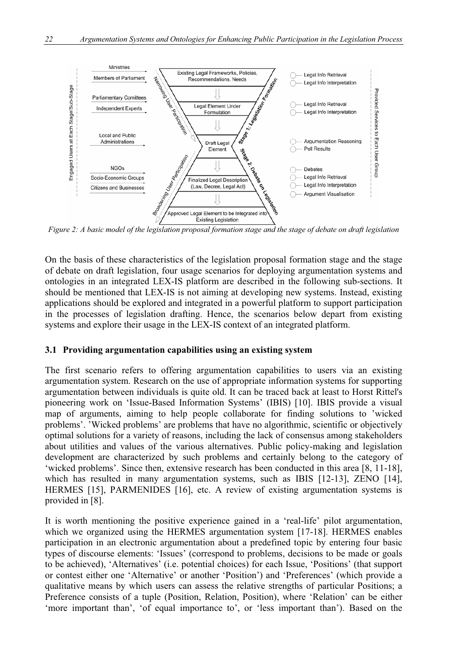

*Figure 2: A basic model of the legislation proposal formation stage and the stage of debate on draft legislation* 

On the basis of these characteristics of the legislation proposal formation stage and the stage of debate on draft legislation, four usage scenarios for deploying argumentation systems and ontologies in an integrated LEX-IS platform are described in the following sub-sections. It should be mentioned that LEX-IS is not aiming at developing new systems. Instead, existing applications should be explored and integrated in a powerful platform to support participation in the processes of legislation drafting. Hence, the scenarios below depart from existing systems and explore their usage in the LEX-IS context of an integrated platform.

### **3.1 Providing argumentation capabilities using an existing system**

The first scenario refers to offering argumentation capabilities to users via an existing argumentation system. Research on the use of appropriate information systems for supporting argumentation between individuals is quite old. It can be traced back at least to Horst Rittel's pioneering work on 'Issue-Based Information Systems' (IBIS) [10]. IBIS provide a visual map of arguments, aiming to help people collaborate for finding solutions to 'wicked problems'. 'Wicked problems' are problems that have no algorithmic, scientific or objectively optimal solutions for a variety of reasons, including the lack of consensus among stakeholders about utilities and values of the various alternatives. Public policy-making and legislation development are characterized by such problems and certainly belong to the category of 'wicked problems'. Since then, extensive research has been conducted in this area [8, 11-18], which has resulted in many argumentation systems, such as IBIS [12-13], ZENO [14], HERMES [15], PARMENIDES [16], etc. A review of existing argumentation systems is provided in [8].

It is worth mentioning the positive experience gained in a 'real-life' pilot argumentation, which we organized using the HERMES argumentation system [17-18]. HERMES enables participation in an electronic argumentation about a predefined topic by entering four basic types of discourse elements: 'Issues' (correspond to problems, decisions to be made or goals to be achieved), 'Alternatives' (i.e. potential choices) for each Issue, 'Positions' (that support or contest either one 'Alternative' or another 'Position') and 'Preferences' (which provide a qualitative means by which users can assess the relative strengths of particular Positions; a Preference consists of a tuple (Position, Relation, Position), where 'Relation' can be either 'more important than', 'of equal importance to', or 'less important than'). Based on the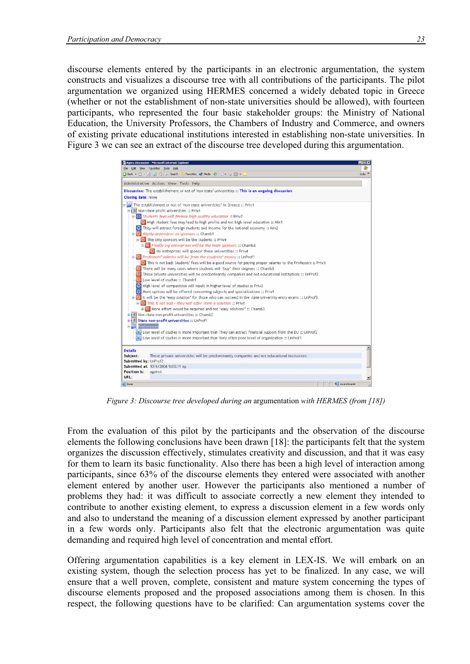discourse elements entered by the participants in an electronic argumentation, the system constructs and visualizes a discourse tree with all contributions of the participants. The pilot argumentation we organized using HERMES concerned a widely debated topic in Greece (whether or not the establishment of non-state universities should be allowed), with fourteen participants, who represented the four basic stakeholder groups: the Ministry of National Education, the University Professors, the Chambers of Industry and Commerce, and owners of existing private educational institutions interested in establishing non-state universities. In Figure 3 we can see an extract of the discourse tree developed during this argumentation.



*Figure 3: Discourse tree developed during an* argumentation *with HERMES (from [18])* 

From the evaluation of this pilot by the participants and the observation of the discourse elements the following conclusions have been drawn [18]: the participants felt that the system organizes the discussion effectively, stimulates creativity and discussion, and that it was easy for them to learn its basic functionality. Also there has been a high level of interaction among participants, since 63% of the discourse elements they entered were associated with another element entered by another user. However the participants also mentioned a number of problems they had: it was difficult to associate correctly a new element they intended to contribute to another existing element, to express a discussion element in a few words only and also to understand the meaning of a discussion element expressed by another participant in a few words only. Participants also felt that the electronic argumentation was quite demanding and required high level of concentration and mental effort.

Offering argumentation capabilities is a key element in LEX-IS. We will embark on an existing system, though the selection process has yet to be finalized. In any case, we will ensure that a well proven, complete, consistent and mature system concerning the types of discourse elements proposed and the proposed associations among them is chosen. In this respect, the following questions have to be clarified: Can argumentation systems cover the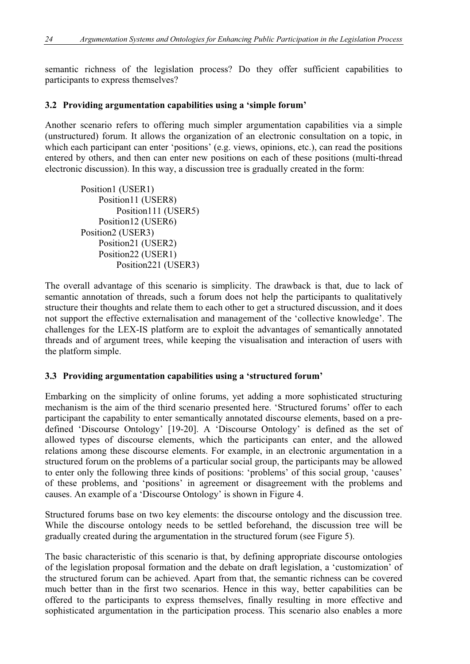semantic richness of the legislation process? Do they offer sufficient capabilities to participants to express themselves?

## **3.2 Providing argumentation capabilities using a 'simple forum'**

Another scenario refers to offering much simpler argumentation capabilities via a simple (unstructured) forum. It allows the organization of an electronic consultation on a topic, in which each participant can enter 'positions' (e.g. views, opinions, etc.), can read the positions entered by others, and then can enter new positions on each of these positions (multi-thread electronic discussion). In this way, a discussion tree is gradually created in the form:

Position1 (USER1) Position11 (USER8) Position111 (USER5) Position12 (USER6) Position2 (USER3) Position21 (USER2) Position22 (USER1) Position221 (USER3)

The overall advantage of this scenario is simplicity. The drawback is that, due to lack of semantic annotation of threads, such a forum does not help the participants to qualitatively structure their thoughts and relate them to each other to get a structured discussion, and it does not support the effective externalisation and management of the 'collective knowledge'. The challenges for the LEX-IS platform are to exploit the advantages of semantically annotated threads and of argument trees, while keeping the visualisation and interaction of users with the platform simple.

### **3.3 Providing argumentation capabilities using a 'structured forum'**

Embarking on the simplicity of online forums, yet adding a more sophisticated structuring mechanism is the aim of the third scenario presented here. 'Structured forums' offer to each participant the capability to enter semantically annotated discourse elements, based on a predefined 'Discourse Ontology' [19-20]. A 'Discourse Ontology' is defined as the set of allowed types of discourse elements, which the participants can enter, and the allowed relations among these discourse elements. For example, in an electronic argumentation in a structured forum on the problems of a particular social group, the participants may be allowed to enter only the following three kinds of positions: 'problems' of this social group, 'causes' of these problems, and 'positions' in agreement or disagreement with the problems and causes. An example of a 'Discourse Ontology' is shown in Figure 4.

Structured forums base on two key elements: the discourse ontology and the discussion tree. While the discourse ontology needs to be settled beforehand, the discussion tree will be gradually created during the argumentation in the structured forum (see Figure 5).

The basic characteristic of this scenario is that, by defining appropriate discourse ontologies of the legislation proposal formation and the debate on draft legislation, a 'customization' of the structured forum can be achieved. Apart from that, the semantic richness can be covered much better than in the first two scenarios. Hence in this way, better capabilities can be offered to the participants to express themselves, finally resulting in more effective and sophisticated argumentation in the participation process. This scenario also enables a more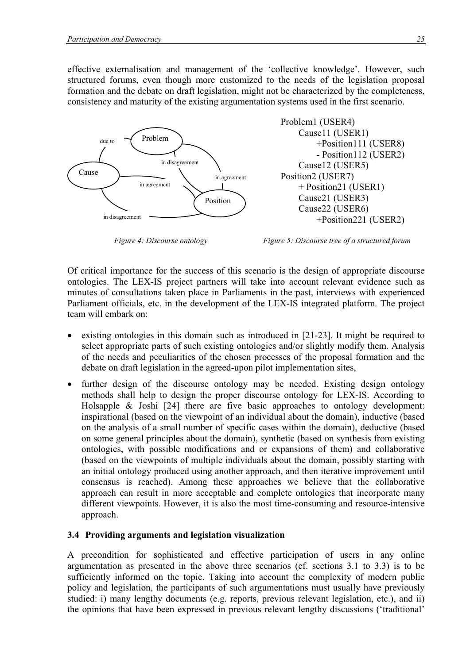effective externalisation and management of the 'collective knowledge'. However, such structured forums, even though more customized to the needs of the legislation proposal formation and the debate on draft legislation, might not be characterized by the completeness, consistency and maturity of the existing argumentation systems used in the first scenario.



*Figure 4: Discourse ontology Figure 5: Discourse tree of a structured forum* 

Problem1 (USER4)

Position2 (USER7)

Cause11 (USER1)

Cause12 (USER5)

 + Position21 (USER1) Cause21 (USER3) Cause22 (USER6)

 +Position111 (USER8) - Position112 (USER2)

+Position221 (USER2)

Of critical importance for the success of this scenario is the design of appropriate discourse ontologies. The LEX-IS project partners will take into account relevant evidence such as minutes of consultations taken place in Parliaments in the past, interviews with experienced Parliament officials, etc. in the development of the LEX-IS integrated platform. The project team will embark on:

- existing ontologies in this domain such as introduced in [21-23]. It might be required to select appropriate parts of such existing ontologies and/or slightly modify them. Analysis of the needs and peculiarities of the chosen processes of the proposal formation and the debate on draft legislation in the agreed-upon pilot implementation sites,
- further design of the discourse ontology may be needed. Existing design ontology methods shall help to design the proper discourse ontology for LEX-IS. According to Holsapple & Joshi [24] there are five basic approaches to ontology development: inspirational (based on the viewpoint of an individual about the domain), inductive (based on the analysis of a small number of specific cases within the domain), deductive (based on some general principles about the domain), synthetic (based on synthesis from existing ontologies, with possible modifications and or expansions of them) and collaborative (based on the viewpoints of multiple individuals about the domain, possibly starting with an initial ontology produced using another approach, and then iterative improvement until consensus is reached). Among these approaches we believe that the collaborative approach can result in more acceptable and complete ontologies that incorporate many different viewpoints. However, it is also the most time-consuming and resource-intensive approach.

### **3.4 Providing arguments and legislation visualization**

A precondition for sophisticated and effective participation of users in any online argumentation as presented in the above three scenarios (cf. sections 3.1 to 3.3) is to be sufficiently informed on the topic. Taking into account the complexity of modern public policy and legislation, the participants of such argumentations must usually have previously studied: i) many lengthy documents (e.g. reports, previous relevant legislation, etc.), and ii) the opinions that have been expressed in previous relevant lengthy discussions ('traditional'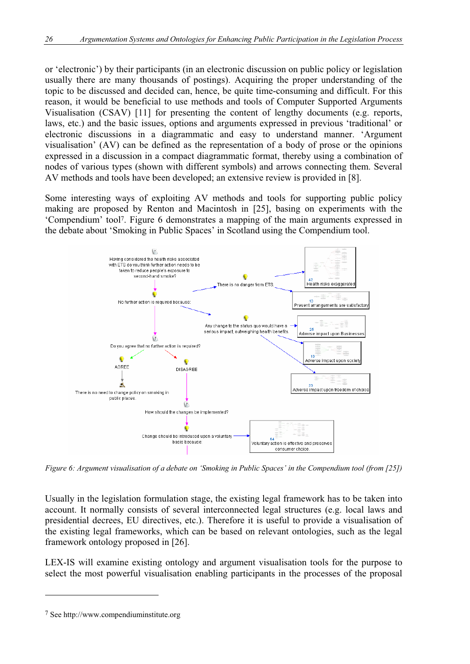or 'electronic') by their participants (in an electronic discussion on public policy or legislation usually there are many thousands of postings). Acquiring the proper understanding of the topic to be discussed and decided can, hence, be quite time-consuming and difficult. For this reason, it would be beneficial to use methods and tools of Computer Supported Arguments Visualisation (CSAV) [11] for presenting the content of lengthy documents (e.g. reports, laws, etc.) and the basic issues, options and arguments expressed in previous 'traditional' or electronic discussions in a diagrammatic and easy to understand manner. 'Argument visualisation' (AV) can be defined as the representation of a body of prose or the opinions expressed in a discussion in a compact diagrammatic format, thereby using a combination of nodes of various types (shown with different symbols) and arrows connecting them. Several AV methods and tools have been developed; an extensive review is provided in [8].

Some interesting ways of exploiting AV methods and tools for supporting public policy making are proposed by Renton and Macintosh in [25], basing on experiments with the 'Compendium' tool7. Figure 6 demonstrates a mapping of the main arguments expressed in the debate about 'Smoking in Public Spaces' in Scotland using the Compendium tool.



*Figure 6: Argument visualisation of a debate on 'Smoking in Public Spaces' in the Compendium tool (from [25])* 

Usually in the legislation formulation stage, the existing legal framework has to be taken into account. It normally consists of several interconnected legal structures (e.g. local laws and presidential decrees, EU directives, etc.). Therefore it is useful to provide a visualisation of the existing legal frameworks, which can be based on relevant ontologies, such as the legal framework ontology proposed in [26].

LEX-IS will examine existing ontology and argument visualisation tools for the purpose to select the most powerful visualisation enabling participants in the processes of the proposal

 $\overline{a}$ 

<sup>7</sup> See http://www.compendiuminstitute.org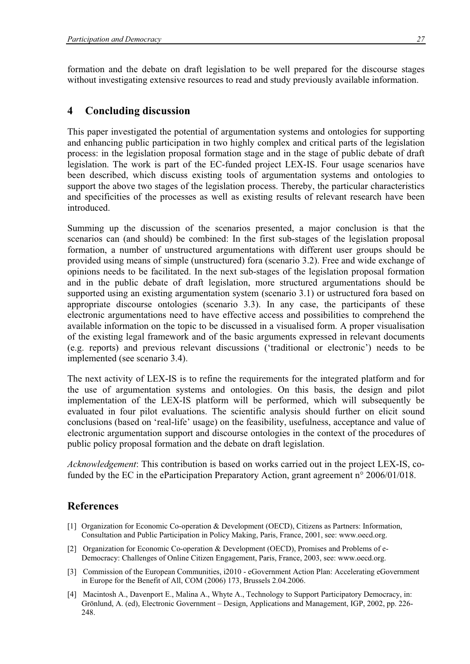formation and the debate on draft legislation to be well prepared for the discourse stages without investigating extensive resources to read and study previously available information.

## **4 Concluding discussion**

This paper investigated the potential of argumentation systems and ontologies for supporting and enhancing public participation in two highly complex and critical parts of the legislation process: in the legislation proposal formation stage and in the stage of public debate of draft legislation. The work is part of the EC-funded project LEX-IS. Four usage scenarios have been described, which discuss existing tools of argumentation systems and ontologies to support the above two stages of the legislation process. Thereby, the particular characteristics and specificities of the processes as well as existing results of relevant research have been introduced.

Summing up the discussion of the scenarios presented, a major conclusion is that the scenarios can (and should) be combined: In the first sub-stages of the legislation proposal formation, a number of unstructured argumentations with different user groups should be provided using means of simple (unstructured) fora (scenario 3.2). Free and wide exchange of opinions needs to be facilitated. In the next sub-stages of the legislation proposal formation and in the public debate of draft legislation, more structured argumentations should be supported using an existing argumentation system (scenario 3.1) or ustructured fora based on appropriate discourse ontologies (scenario 3.3). In any case, the participants of these electronic argumentations need to have effective access and possibilities to comprehend the available information on the topic to be discussed in a visualised form. A proper visualisation of the existing legal framework and of the basic arguments expressed in relevant documents (e.g. reports) and previous relevant discussions ('traditional or electronic') needs to be implemented (see scenario 3.4).

The next activity of LEX-IS is to refine the requirements for the integrated platform and for the use of argumentation systems and ontologies. On this basis, the design and pilot implementation of the LEX-IS platform will be performed, which will subsequently be evaluated in four pilot evaluations. The scientific analysis should further on elicit sound conclusions (based on 'real-life' usage) on the feasibility, usefulness, acceptance and value of electronic argumentation support and discourse ontologies in the context of the procedures of public policy proposal formation and the debate on draft legislation.

*Acknowledgement*: This contribution is based on works carried out in the project LEX-IS, cofunded by the EC in the eParticipation Preparatory Action, grant agreement n° 2006/01/018.

## **References**

- [1] Organization for Economic Co-operation & Development (OECD), Citizens as Partners: Information, Consultation and Public Participation in Policy Making, Paris, France, 2001, see: www.oecd.org.
- [2] Organization for Economic Co-operation & Development (OECD), Promises and Problems of e-Democracy: Challenges of Online Citizen Engagement, Paris, France, 2003, see: www.oecd.org.
- [3] Commission of the European Communities, i2010 eGovernment Action Plan: Accelerating eGovernment in Europe for the Benefit of All, COM (2006) 173, Brussels 2.04.2006.
- [4] Macintosh A., Davenport E., Malina A., Whyte A., Technology to Support Participatory Democracy, in: Grönlund, A. (ed), Electronic Government – Design, Applications and Management, IGP, 2002, pp. 226- 248.